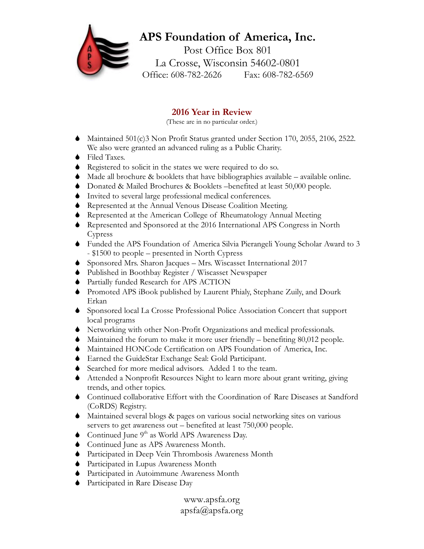## **APS Foundation of America, Inc.** Post Office Box 801 La Crosse, Wisconsin 54602-0801 Office: 608-782-2626 Fax: 608-782-6569

## **2016 Year in Review**

(These are in no particular order.)

- $\blacklozenge$  Maintained 501(c)3 Non Profit Status granted under Section 170, 2055, 2106, 2522. We also were granted an advanced ruling as a Public Charity.
- $\bullet$  Filed Taxes.
- Registered to solicit in the states we were required to do so.
- $\blacklozenge$  Made all brochure & booklets that have bibliographies available available online.
- S Donated & Mailed Brochures & Booklets –benefited at least 50,000 people.
- $\bullet$  Invited to several large professional medical conferences.
- S Represented at the Annual Venous Disease Coalition Meeting.
- $\bullet$  Represented at the American College of Rheumatology Annual Meeting
- S Represented and Sponsored at the 2016 International APS Congress in North Cypress
- S Funded the APS Foundation of America Silvia Pierangeli Young Scholar Award to 3 - \$1500 to people – presented in North Cypress
- S Sponsored Mrs. Sharon Jacques Mrs. Wiscasset International 2017
- S Published in Boothbay Register / Wiscasset Newspaper
- $\blacklozenge$  Partially funded Research for APS ACTION
- S Promoted APS iBook published by Laurent Phialy, Stephane Zuily, and Dourk Erkan
- S Sponsored local La Crosse Professional Police Association Concert that support local programs
- S Networking with other Non-Profit Organizations and medical professionals.
- $\blacklozenge$  Maintained the forum to make it more user friendly benefiting 80,012 people.
- $\blacklozenge$  Maintained HONCode Certification on APS Foundation of America, Inc.
- S Earned the GuideStar Exchange Seal: Gold Participant.
- $\bullet$  Searched for more medical advisors. Added 1 to the team.
- S Attended a Nonprofit Resources Night to learn more about grant writing, giving trends, and other topics.
- S Continued collaborative Effort with the Coordination of Rare Diseases at Sandford (CoRDS) Registry.
- S Maintained several blogs & pages on various social networking sites on various servers to get awareness out – benefited at least 750,000 people.
- Continued June  $9<sup>th</sup>$  as World APS Awareness Day.
- $\bullet$  Continued June as APS Awareness Month.
- S Participated in Deep Vein Thrombosis Awareness Month
- S Participated in Lupus Awareness Month
- S Participated in Autoimmune Awareness Month
- $\blacklozenge$  Participated in Rare Disease Day

www.apsfa.org apsfa@apsfa.org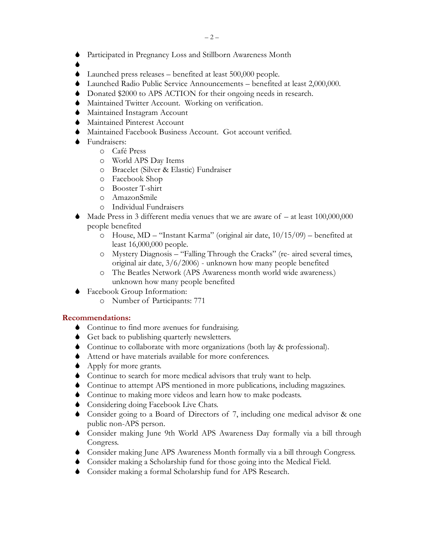S Participated in Pregnancy Loss and Stillborn Awareness Month

 $\blacklozenge$ 

- $\blacklozenge$  Launched press releases benefited at least 500,000 people.
- S Launched Radio Public Service Announcements benefited at least 2,000,000.
- $\blacklozenge$  Donated \$2000 to APS ACTION for their ongoing needs in research.
- $\blacklozenge$  Maintained Twitter Account. Working on verification.
- $\bullet$  Maintained Instagram Account
- $\bullet$  Maintained Pinterest Account
- $\blacklozenge$  Maintained Facebook Business Account. Got account verified.
- $\bullet$  Fundraisers:
	- o Café Press
	- o World APS Day Items
	- o Bracelet (Silver & Elastic) Fundraiser
	- o Facebook Shop
	- o Booster T-shirt
	- o AmazonSmile
	- o Individual Fundraisers
- Made Press in 3 different media venues that we are aware of  $-$  at least  $100,000,000$ people benefited
	- o House, MD "Instant Karma" (original air date, 10/15/09) benefited at least 16,000,000 people.
	- o Mystery Diagnosis "Falling Through the Cracks" (re- aired several times, original air date, 3/6/2006) - unknown how many people benefited
	- o The Beatles Network (APS Awareness month world wide awareness.) unknown how many people benefited
- $\blacklozenge$  Facebook Group Information:
	- o Number of Participants: 771

## **Recommendations:**

- $\bullet$  Continue to find more avenues for fundraising.
- $\bullet$  Get back to publishing quarterly newsletters.
- S Continue to collaborate with more organizations (both lay & professional).
- $\blacklozenge$  Attend or have materials available for more conferences.
- $\blacklozenge$  Apply for more grants.
- $\bullet$  Continue to search for more medical advisors that truly want to help.
- S Continue to attempt APS mentioned in more publications, including magazines.
- $\bullet$  Continue to making more videos and learn how to make podcasts.
- $\bullet$  Considering doing Facebook Live Chats.
- S Consider going to a Board of Directors of 7, including one medical advisor & one public non-APS person.
- S Consider making June 9th World APS Awareness Day formally via a bill through Congress.
- S Consider making June APS Awareness Month formally via a bill through Congress.
- S Consider making a Scholarship fund for those going into the Medical Field.
- Gonsider making a formal Scholarship fund for APS Research.